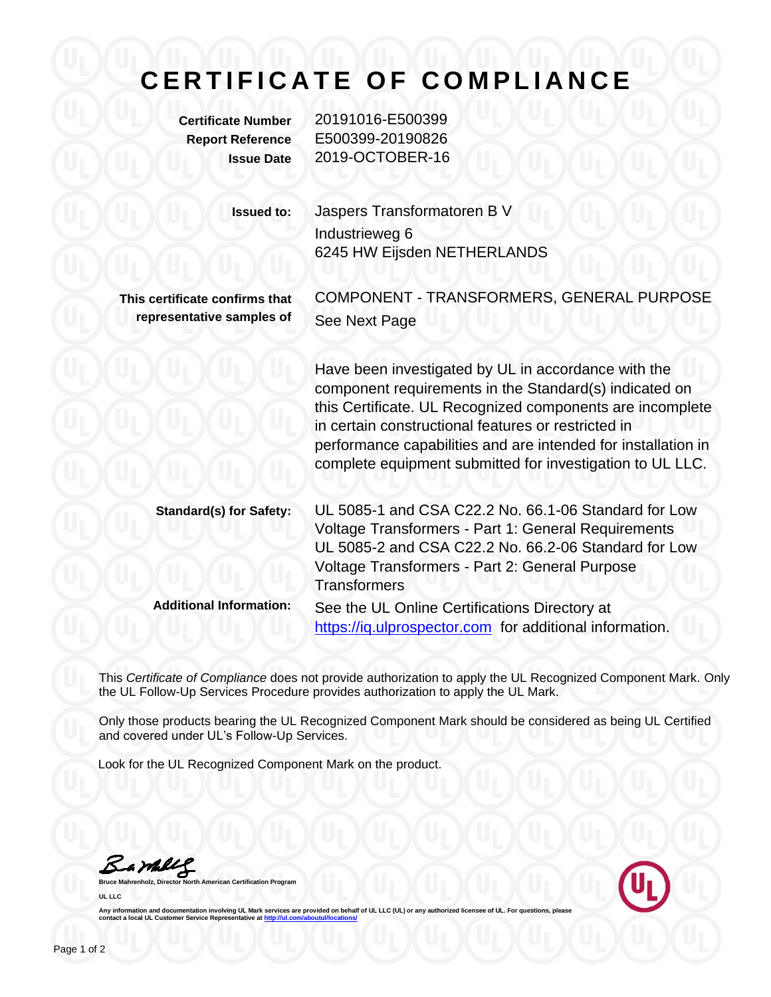## **CERTIFICATE OF COMPLIANCE**

**Certificate Number** 20191016-E500399 **Report Reference** E500399-20190826 **Issue Date** 2019-OCTOBER-16

| <b>Issued to:</b>                                           | Jaspers Transformatoren B V<br>Industrieweg 6<br>6245 HW Eijsden NETHERLANDS                                                                                                                                                                                                                                                                                    |
|-------------------------------------------------------------|-----------------------------------------------------------------------------------------------------------------------------------------------------------------------------------------------------------------------------------------------------------------------------------------------------------------------------------------------------------------|
| This certificate confirms that<br>representative samples of | COMPONENT - TRANSFORMERS, GENERAL PURPOSE<br>See Next Page                                                                                                                                                                                                                                                                                                      |
|                                                             | Have been investigated by UL in accordance with the<br>component requirements in the Standard(s) indicated on<br>this Certificate. UL Recognized components are incomplete<br>in certain constructional features or restricted in<br>performance capabilities and are intended for installation in<br>complete equipment submitted for investigation to UL LLC. |
| <b>Standard(s) for Safety:</b>                              | UL 5085-1 and CSA C22.2 No. 66.1-06 Standard for Low<br>Voltage Transformers - Part 1: General Requirements<br>UL 5085-2 and CSA C22.2 No. 66.2-06 Standard for Low<br>Voltage Transformers - Part 2: General Purpose<br><b>Transformers</b>                                                                                                                    |
| <b>Additional Information:</b>                              | See the UL Online Certifications Directory at<br>https://iq.ulprospector.com for additional information.                                                                                                                                                                                                                                                        |

This *Certificate of Compliance* does not provide authorization to apply the UL Recognized Component Mark. Only the UL Follow-Up Services Procedure provides authorization to apply the UL Mark.

Only those products bearing the UL Recognized Component Mark should be considered as being UL Certified and covered under UL's Follow-Up Services.

Look for the UL Recognized Component Mark on the product.

**Bruce Mahrenholz, Director North American Certification Program** 

**UL LLC**



Any information and documentation involving UL Mark services are provided on behalf of UL LLC (UL) or any authorized licensee of UL. For questions, please<br>contact a local UL Customer Service Representative at <u>http://ul.co</u>